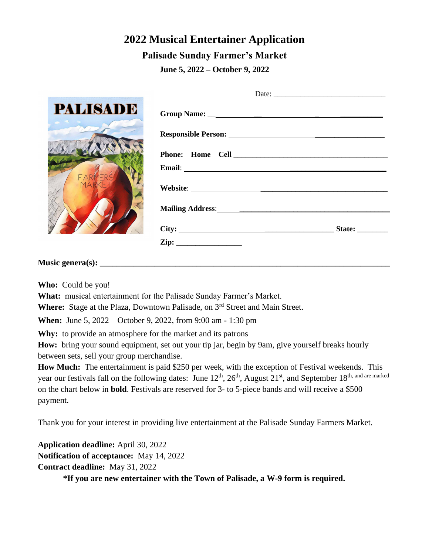## **2022 Musical Entertainer Application Palisade Sunday Farmer's Market**

**June 5, 2022 – October 9, 2022**

| <b>PALISADE</b><br>$\bullet$ $\bullet$ $\bullet$ | Group Name: $\qquad \qquad$ |
|--------------------------------------------------|-----------------------------|
|                                                  |                             |
|                                                  |                             |
|                                                  |                             |
| MARK                                             |                             |
|                                                  |                             |
|                                                  |                             |
|                                                  |                             |
|                                                  |                             |

## **Music genera(s):**

**Who:** Could be you!

**What:** musical entertainment for the Palisade Sunday Farmer's Market.

Where: Stage at the Plaza, Downtown Palisade, on 3<sup>rd</sup> Street and Main Street.

**When:** June 5, 2022 – October 9, 2022, from 9:00 am - 1:30 pm

**Why:** to provide an atmosphere for the market and its patrons

**How:** bring your sound equipment, set out your tip jar, begin by 9am, give yourself breaks hourly between sets, sell your group merchandise.

**How Much:** The entertainment is paid \$250 per week, with the exception of Festival weekends. This year our festivals fall on the following dates: June 12<sup>th</sup>, 26<sup>th</sup>, August 21<sup>st</sup>, and September 18<sup>th, and are marked</sup> on the chart below in **bold**. Festivals are reserved for 3- to 5-piece bands and will receive a \$500 payment.

Thank you for your interest in providing live entertainment at the Palisade Sunday Farmers Market.

**Application deadline:** April 30, 2022 **Notification of acceptance:** May 14, 2022 **Contract deadline:** May 31, 2022

**\*If you are new entertainer with the Town of Palisade, a W-9 form is required.**